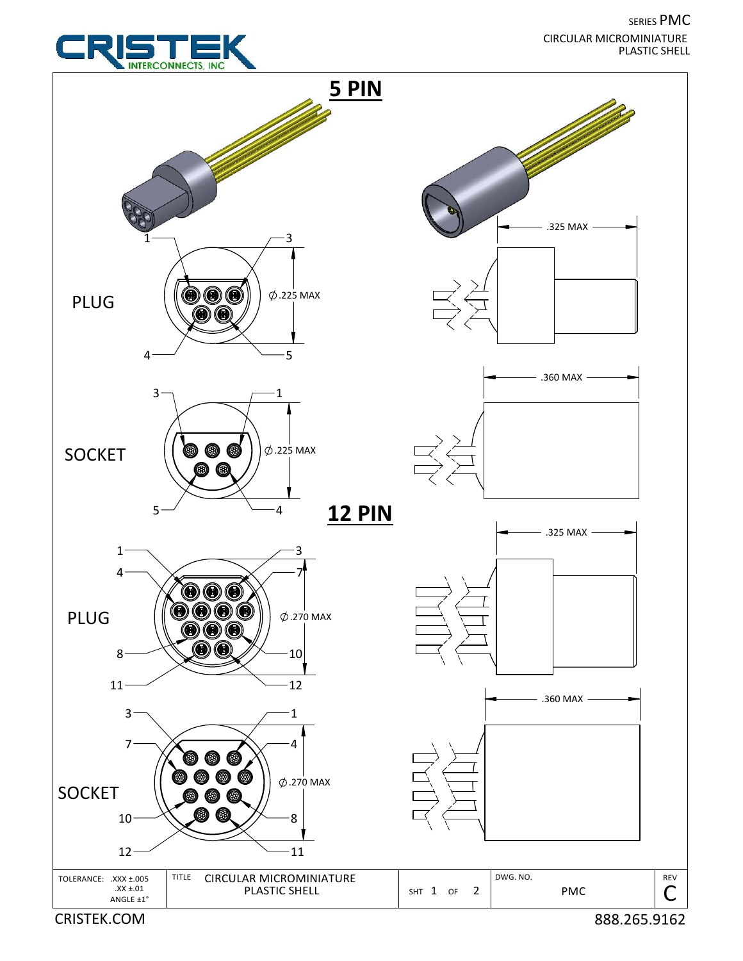SERIES PMC PLASTIC SHELL CIRCULAR MICROMINIATURE